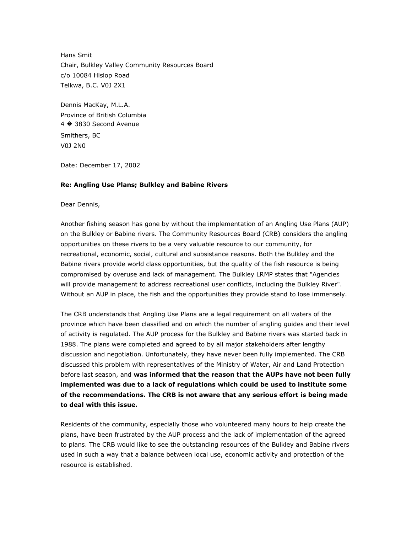Hans Smit Chair, Bulkley Valley Community Resources Board c/o 10084 Hislop Road Telkwa, B.C. V0J 2X1

Dennis MacKay, M.L.A. Province of British Columbia 4 � 3830 Second Avenue Smithers, BC V0J 2N0

Date: December 17, 2002

## **Re: Angling Use Plans; Bulkley and Babine Rivers**

Dear Dennis,

Another fishing season has gone by without the implementation of an Angling Use Plans (AUP) on the Bulkley or Babine rivers. The Community Resources Board (CRB) considers the angling opportunities on these rivers to be a very valuable resource to our community, for recreational, economic, social, cultural and subsistance reasons. Both the Bulkley and the Babine rivers provide world class opportunities, but the quality of the fish resource is being compromised by overuse and lack of management. The Bulkley LRMP states that "Agencies will provide management to address recreational user conflicts, including the Bulkley River". Without an AUP in place, the fish and the opportunities they provide stand to lose immensely.

The CRB understands that Angling Use Plans are a legal requirement on all waters of the province which have been classified and on which the number of angling guides and their level of activity is regulated. The AUP process for the Bulkley and Babine rivers was started back in 1988. The plans were completed and agreed to by all major stakeholders after lengthy discussion and negotiation. Unfortunately, they have never been fully implemented. The CRB discussed this problem with representatives of the Ministry of Water, Air and Land Protection before last season, and **was informed that the reason that the AUPs have not been fully implemented was due to a lack of regulations which could be used to institute some of the recommendations. The CRB is not aware that any serious effort is being made to deal with this issue.**

Residents of the community, especially those who volunteered many hours to help create the plans, have been frustrated by the AUP process and the lack of implementation of the agreed to plans. The CRB would like to see the outstanding resources of the Bulkley and Babine rivers used in such a way that a balance between local use, economic activity and protection of the resource is established.